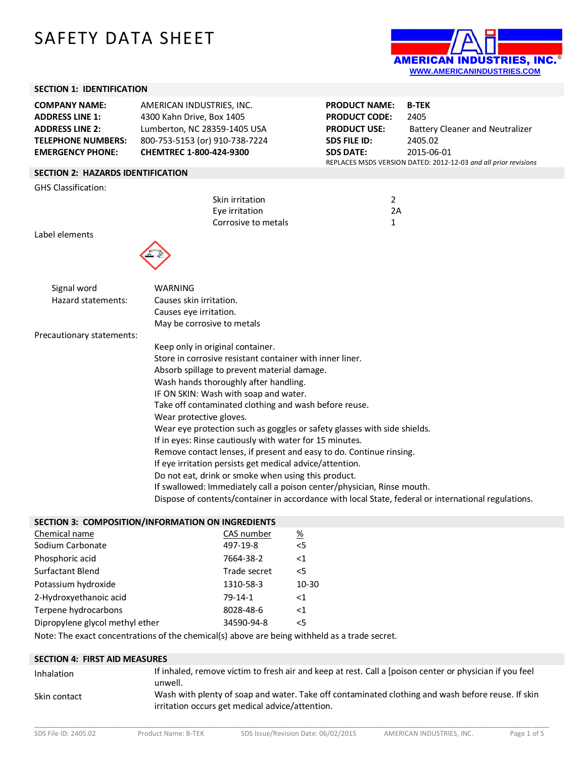# SAFETY DATA SHEET



## **SECTION 1: IDENTIFICATION**

| SECTION I: IDENTIFICATION                                                                                                        |                                                                                                                                                     |                                                                                                                |                                                                                                                                                            |
|----------------------------------------------------------------------------------------------------------------------------------|-----------------------------------------------------------------------------------------------------------------------------------------------------|----------------------------------------------------------------------------------------------------------------|------------------------------------------------------------------------------------------------------------------------------------------------------------|
| <b>COMPANY NAME:</b><br><b>ADDRESS LINE 1:</b><br><b>ADDRESS LINE 2:</b><br><b>TELEPHONE NUMBERS:</b><br><b>EMERGENCY PHONE:</b> | AMERICAN INDUSTRIES, INC.<br>4300 Kahn Drive, Box 1405<br>Lumberton, NC 28359-1405 USA<br>800-753-5153 (or) 910-738-7224<br>CHEMTREC 1-800-424-9300 | <b>PRODUCT NAME:</b><br><b>PRODUCT CODE:</b><br><b>PRODUCT USE:</b><br><b>SDS FILE ID:</b><br><b>SDS DATE:</b> | <b>B-TEK</b><br>2405<br><b>Battery Cleaner and Neutralizer</b><br>2405.02<br>2015-06-01<br>REPLACES MSDS VERSION DATED: 2012-12-03 and all prior revisions |
| <b>SECTION 2: HAZARDS IDENTIFICATION</b>                                                                                         |                                                                                                                                                     |                                                                                                                |                                                                                                                                                            |
| <b>GHS Classification:</b>                                                                                                       |                                                                                                                                                     |                                                                                                                |                                                                                                                                                            |
|                                                                                                                                  | Skin irritation<br>Eye irritation<br>Corrosive to metals                                                                                            | $\overline{2}$<br>2A<br>$\mathbf{1}$                                                                           |                                                                                                                                                            |
| Label elements                                                                                                                   |                                                                                                                                                     |                                                                                                                |                                                                                                                                                            |
|                                                                                                                                  |                                                                                                                                                     |                                                                                                                |                                                                                                                                                            |
| Signal word                                                                                                                      | <b>WARNING</b>                                                                                                                                      |                                                                                                                |                                                                                                                                                            |
| Hazard statements:                                                                                                               | Causes skin irritation.                                                                                                                             |                                                                                                                |                                                                                                                                                            |
|                                                                                                                                  | Causes eye irritation.                                                                                                                              |                                                                                                                |                                                                                                                                                            |
|                                                                                                                                  | May be corrosive to metals                                                                                                                          |                                                                                                                |                                                                                                                                                            |
| Precautionary statements:                                                                                                        |                                                                                                                                                     |                                                                                                                |                                                                                                                                                            |
|                                                                                                                                  | Keep only in original container.                                                                                                                    |                                                                                                                |                                                                                                                                                            |
| Store in corrosive resistant container with inner liner.                                                                         |                                                                                                                                                     |                                                                                                                |                                                                                                                                                            |
|                                                                                                                                  | Absorb spillage to prevent material damage.                                                                                                         |                                                                                                                |                                                                                                                                                            |
|                                                                                                                                  | Wash hands thoroughly after handling.                                                                                                               |                                                                                                                |                                                                                                                                                            |
|                                                                                                                                  | IF ON SKIN: Wash with soap and water.                                                                                                               |                                                                                                                |                                                                                                                                                            |
|                                                                                                                                  | Take off contaminated clothing and wash before reuse.                                                                                               |                                                                                                                |                                                                                                                                                            |
|                                                                                                                                  | Wear protective gloves.                                                                                                                             |                                                                                                                |                                                                                                                                                            |
|                                                                                                                                  | Wear eye protection such as goggles or safety glasses with side shields.                                                                            |                                                                                                                |                                                                                                                                                            |
|                                                                                                                                  | If in eyes: Rinse cautiously with water for 15 minutes.                                                                                             |                                                                                                                |                                                                                                                                                            |
|                                                                                                                                  | Remove contact lenses, if present and easy to do. Continue rinsing.                                                                                 |                                                                                                                |                                                                                                                                                            |
|                                                                                                                                  | If eye irritation persists get medical advice/attention.                                                                                            |                                                                                                                |                                                                                                                                                            |
|                                                                                                                                  | Do not eat, drink or smoke when using this product.<br>If swallowed: Immediately call a poison center/physician, Rinse mouth.                       |                                                                                                                |                                                                                                                                                            |
|                                                                                                                                  | Dispose of contents/container in accordance with local State, federal or international regulations.                                                 |                                                                                                                |                                                                                                                                                            |
|                                                                                                                                  | SECTION 3: COMPOSITION/INFORMATION ON INGREDIENTS                                                                                                   |                                                                                                                |                                                                                                                                                            |
| Chemical name                                                                                                                    | %<br>CAS number                                                                                                                                     |                                                                                                                |                                                                                                                                                            |

| Chemical name           | CAS number   | <u>%</u> |
|-------------------------|--------------|----------|
| Sodium Carbonate        | 497-19-8     | $<$ 5    |
| Phosphoric acid         | 7664-38-2    | $<$ 1    |
| <b>Surfactant Blend</b> | Trade secret | $\leq$   |
| Potassium hydroxide     | 1310-58-3    | 10-30    |
| 2-Hydroxyethanoic acid  | $79-14-1$    | <1       |

Terpene hydrocarbons 8028-48-6 <1 Dipropylene glycol methyl ether 34590-94-8 <5

Note: The exact concentrations of the chemical(s) above are being withheld as a trade secret.

| <b>SECTION 4: FIRST AID MEASURES</b> |                                                                                                                                                      |
|--------------------------------------|------------------------------------------------------------------------------------------------------------------------------------------------------|
| Inhalation                           | If inhaled, remove victim to fresh air and keep at rest. Call a [poison center or physician if you feel<br>unwell.                                   |
| Skin contact                         | Wash with plenty of soap and water. Take off contaminated clothing and wash before reuse. If skin<br>irritation occurs get medical advice/attention. |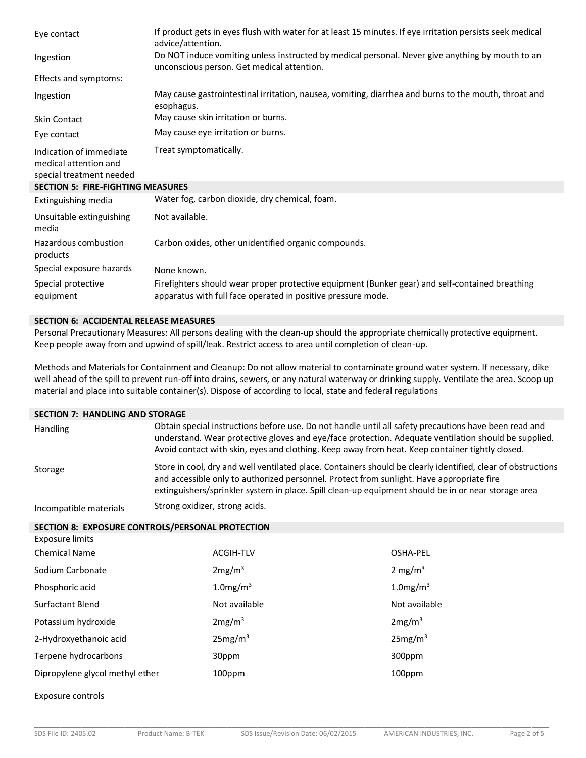| Eye contact                                                                  | If product gets in eyes flush with water for at least 15 minutes. If eye irritation persists seek medical<br>advice/attention.                                  |
|------------------------------------------------------------------------------|-----------------------------------------------------------------------------------------------------------------------------------------------------------------|
| Ingestion                                                                    | Do NOT induce vomiting unless instructed by medical personal. Never give anything by mouth to an<br>unconscious person. Get medical attention.                  |
| Effects and symptoms:                                                        |                                                                                                                                                                 |
| Ingestion                                                                    | May cause gastrointestinal irritation, nausea, vomiting, diarrhea and burns to the mouth, throat and<br>esophagus.                                              |
| <b>Skin Contact</b>                                                          | May cause skin irritation or burns.                                                                                                                             |
| Eye contact                                                                  | May cause eye irritation or burns.                                                                                                                              |
| Indication of immediate<br>medical attention and<br>special treatment needed | Treat symptomatically.                                                                                                                                          |
| <b>SECTION 5: FIRE-FIGHTING MEASURES</b>                                     |                                                                                                                                                                 |
| Extinguishing media                                                          | Water fog, carbon dioxide, dry chemical, foam.                                                                                                                  |
| Unsuitable extinguishing<br>media                                            | Not available.                                                                                                                                                  |
| Hazardous combustion<br>products                                             | Carbon oxides, other unidentified organic compounds.                                                                                                            |
| Special exposure hazards                                                     | None known.                                                                                                                                                     |
| Special protective<br>equipment                                              | Firefighters should wear proper protective equipment (Bunker gear) and self-contained breathing<br>apparatus with full face operated in positive pressure mode. |

#### **SECTION 6: ACCIDENTAL RELEASE MEASURES**

Personal Precautionary Measures: All persons dealing with the clean-up should the appropriate chemically protective equipment. Keep people away from and upwind of spill/leak. Restrict access to area until completion of clean-up.

Methods and Materials for Containment and Cleanup: Do not allow material to contaminate ground water system. If necessary, dike well ahead of the spill to prevent run-off into drains, sewers, or any natural waterway or drinking supply. Ventilate the area. Scoop up material and place into suitable container(s). Dispose of according to local, state and federal regulations

#### **SECTION 7: HANDLING AND STORAGE**

| <b>Handling</b>        | Obtain special instructions before use. Do not handle until all safety precautions have been read and<br>understand. Wear protective gloves and eye/face protection. Adequate ventilation should be supplied.<br>Avoid contact with skin, eyes and clothing. Keep away from heat. Keep container tightly closed. |
|------------------------|------------------------------------------------------------------------------------------------------------------------------------------------------------------------------------------------------------------------------------------------------------------------------------------------------------------|
| Storage                | Store in cool, dry and well ventilated place. Containers should be clearly identified, clear of obstructions<br>and accessible only to authorized personnel. Protect from sunlight. Have appropriate fire<br>extinguishers/sprinkler system in place. Spill clean-up equipment should be in or near storage area |
| Incompatible materials | Strong oxidizer, strong acids.                                                                                                                                                                                                                                                                                   |

**SECTION 8: EXPOSURE CONTROLS/PERSONAL PROTECTION**

| Exposure limits                 |                         |                         |
|---------------------------------|-------------------------|-------------------------|
| <b>Chemical Name</b>            | <b>ACGIH-TLV</b>        | OSHA-PEL                |
| Sodium Carbonate                | 2mg/m <sup>3</sup>      | 2 mg/m <sup>3</sup>     |
| Phosphoric acid                 | $1.0$ mg/m <sup>3</sup> | $1.0$ mg/m <sup>3</sup> |
| Surfactant Blend                | Not available           | Not available           |
| Potassium hydroxide             | 2mg/m <sup>3</sup>      | 2mg/m <sup>3</sup>      |
| 2-Hydroxyethanoic acid          | 25mg/m <sup>3</sup>     | 25mg/m <sup>3</sup>     |
| Terpene hydrocarbons            | 30ppm                   | 300ppm                  |
| Dipropylene glycol methyl ether | 100ppm                  | 100ppm                  |

Exposure controls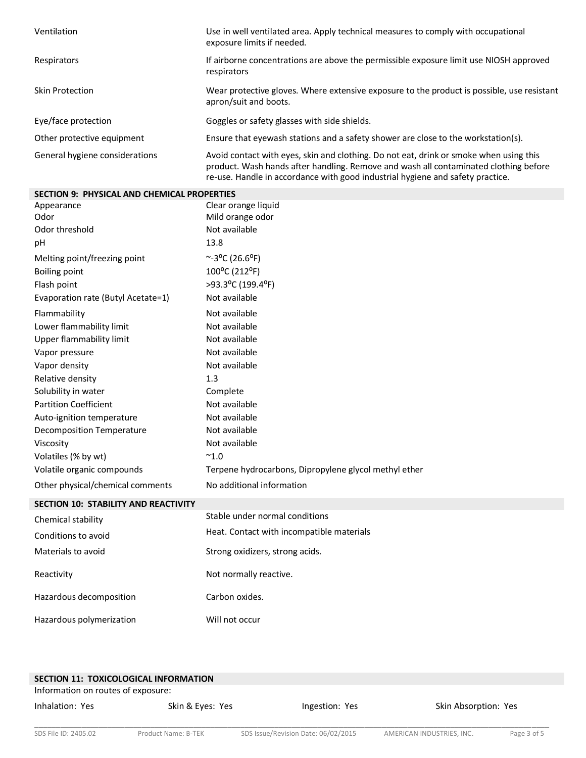| Ventilation                    | Use in well ventilated area. Apply technical measures to comply with occupational<br>exposure limits if needed.                                                                                                                                                  |
|--------------------------------|------------------------------------------------------------------------------------------------------------------------------------------------------------------------------------------------------------------------------------------------------------------|
| Respirators                    | If airborne concentrations are above the permissible exposure limit use NIOSH approved<br>respirators                                                                                                                                                            |
| Skin Protection                | Wear protective gloves. Where extensive exposure to the product is possible, use resistant<br>apron/suit and boots.                                                                                                                                              |
| Eye/face protection            | Goggles or safety glasses with side shields.                                                                                                                                                                                                                     |
| Other protective equipment     | Ensure that eyewash stations and a safety shower are close to the workstation(s).                                                                                                                                                                                |
| General hygiene considerations | Avoid contact with eyes, skin and clothing. Do not eat, drink or smoke when using this<br>product. Wash hands after handling. Remove and wash all contaminated clothing before<br>re-use. Handle in accordance with good industrial hygiene and safety practice. |

| <b>SECTION 9: PHYSICAL AND CHEMICAL PROPERTIES</b> |                                                       |
|----------------------------------------------------|-------------------------------------------------------|
| Appearance                                         | Clear orange liquid                                   |
| Odor                                               | Mild orange odor                                      |
| Odor threshold                                     | Not available                                         |
| pH                                                 | 13.8                                                  |
| Melting point/freezing point                       | $~^{\sim}$ -3 <sup>o</sup> C (26.6 <sup>o</sup> F)    |
| <b>Boiling point</b>                               | 100°C (212°F)                                         |
| Flash point                                        | >93.3°C (199.4°F)                                     |
| Evaporation rate (Butyl Acetate=1)                 | Not available                                         |
| Flammability                                       | Not available                                         |
| Lower flammability limit                           | Not available                                         |
| Upper flammability limit                           | Not available                                         |
| Vapor pressure                                     | Not available                                         |
| Vapor density                                      | Not available                                         |
| Relative density                                   | 1.3                                                   |
| Solubility in water                                | Complete                                              |
| <b>Partition Coefficient</b>                       | Not available                                         |
| Auto-ignition temperature                          | Not available                                         |
| <b>Decomposition Temperature</b>                   | Not available                                         |
| Viscosity                                          | Not available                                         |
| Volatiles (% by wt)                                | $~^{\sim}1.0$                                         |
| Volatile organic compounds                         | Terpene hydrocarbons, Dipropylene glycol methyl ether |
| Other physical/chemical comments                   | No additional information                             |
| SECTION 10: STABILITY AND REACTIVITY               |                                                       |
| Chemical stability                                 | Stable under normal conditions                        |
| Conditions to avoid                                | Heat. Contact with incompatible materials             |
| Materials to avoid                                 | Strong oxidizers, strong acids.                       |
| Reactivity                                         | Not normally reactive.                                |
| Hazardous decomposition                            | Carbon oxides.                                        |
| Hazardous polymerization                           | Will not occur                                        |

| <b>SECTION 11: TOXICOLOGICAL INFORMATION</b> |                  |                |                      |
|----------------------------------------------|------------------|----------------|----------------------|
| Information on routes of exposure:           |                  |                |                      |
| Inhalation: Yes                              | Skin & Eyes: Yes | Ingestion: Yes | Skin Absorption: Yes |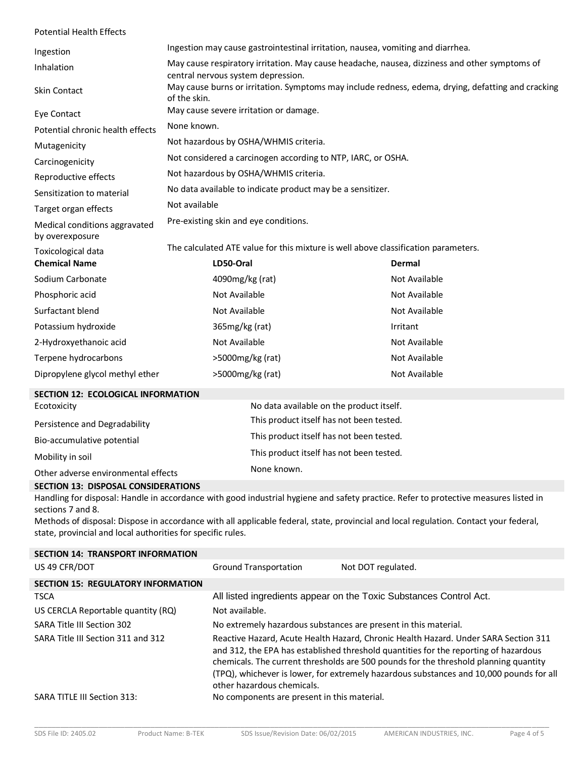| <b>Potential Health Effects</b>                  |                                                                                                                                     |                                                                                    |               |
|--------------------------------------------------|-------------------------------------------------------------------------------------------------------------------------------------|------------------------------------------------------------------------------------|---------------|
| Ingestion                                        | Ingestion may cause gastrointestinal irritation, nausea, vomiting and diarrhea.                                                     |                                                                                    |               |
| Inhalation                                       | May cause respiratory irritation. May cause headache, nausea, dizziness and other symptoms of<br>central nervous system depression. |                                                                                    |               |
| <b>Skin Contact</b>                              | May cause burns or irritation. Symptoms may include redness, edema, drying, defatting and cracking<br>of the skin.                  |                                                                                    |               |
| Eye Contact                                      | May cause severe irritation or damage.                                                                                              |                                                                                    |               |
| Potential chronic health effects                 | None known.                                                                                                                         |                                                                                    |               |
| Mutagenicity                                     | Not hazardous by OSHA/WHMIS criteria.                                                                                               |                                                                                    |               |
| Carcinogenicity                                  | Not considered a carcinogen according to NTP, IARC, or OSHA.                                                                        |                                                                                    |               |
| Reproductive effects                             | Not hazardous by OSHA/WHMIS criteria.                                                                                               |                                                                                    |               |
| Sensitization to material                        |                                                                                                                                     | No data available to indicate product may be a sensitizer.                         |               |
| Target organ effects                             | Not available                                                                                                                       |                                                                                    |               |
| Medical conditions aggravated<br>by overexposure | Pre-existing skin and eye conditions.                                                                                               |                                                                                    |               |
| Toxicological data                               |                                                                                                                                     | The calculated ATE value for this mixture is well above classification parameters. |               |
| <b>Chemical Name</b>                             | LD50-Oral                                                                                                                           |                                                                                    | Dermal        |
| Sodium Carbonate                                 | 4090mg/kg (rat)                                                                                                                     |                                                                                    | Not Available |
| Phosphoric acid                                  | Not Available                                                                                                                       |                                                                                    | Not Available |
| Surfactant blend                                 | Not Available                                                                                                                       |                                                                                    | Not Available |
| Potassium hydroxide                              | 365mg/kg (rat)                                                                                                                      |                                                                                    | Irritant      |
| 2-Hydroxyethanoic acid                           | Not Available                                                                                                                       |                                                                                    | Not Available |
| Terpene hydrocarbons                             | >5000mg/kg (rat)                                                                                                                    |                                                                                    | Not Available |
| Dipropylene glycol methyl ether                  | >5000mg/kg (rat)                                                                                                                    |                                                                                    | Not Available |
| SECTION 12: ECOLOGICAL INFORMATION               |                                                                                                                                     |                                                                                    |               |
| Ecotoxicity                                      |                                                                                                                                     | No data available on the product itself.                                           |               |
| Persistence and Degradability                    |                                                                                                                                     | This product itself has not been tested.                                           |               |
| Bio-accumulative potential                       | This product itself has not been tested.                                                                                            |                                                                                    |               |
| Mobility in soil                                 | This product itself has not been tested.                                                                                            |                                                                                    |               |
| Other adverse environmental effects              |                                                                                                                                     | None known.                                                                        |               |
| CECTION 12: DICROSAL CONCIDERATIONS              |                                                                                                                                     |                                                                                    |               |

#### **SECTION 13: DISPOSAL CONSIDERATIONS**

Handling for disposal: Handle in accordance with good industrial hygiene and safety practice. Refer to protective measures listed in sections 7 and 8.

Methods of disposal: Dispose in accordance with all applicable federal, state, provincial and local regulation. Contact your federal, state, provincial and local authorities for specific rules.

| Not DOT regulated.<br>All listed ingredients appear on the Toxic Substances Control Act.                                                                                                                                                                                                                                                                       |
|----------------------------------------------------------------------------------------------------------------------------------------------------------------------------------------------------------------------------------------------------------------------------------------------------------------------------------------------------------------|
|                                                                                                                                                                                                                                                                                                                                                                |
|                                                                                                                                                                                                                                                                                                                                                                |
|                                                                                                                                                                                                                                                                                                                                                                |
|                                                                                                                                                                                                                                                                                                                                                                |
| No extremely hazardous substances are present in this material.                                                                                                                                                                                                                                                                                                |
| Reactive Hazard, Acute Health Hazard, Chronic Health Hazard. Under SARA Section 311<br>and 312, the EPA has established threshold quantities for the reporting of hazardous<br>chemicals. The current thresholds are 500 pounds for the threshold planning quantity<br>(TPQ), whichever is lower, for extremely hazardous substances and 10,000 pounds for all |
| No components are present in this material.                                                                                                                                                                                                                                                                                                                    |
|                                                                                                                                                                                                                                                                                                                                                                |